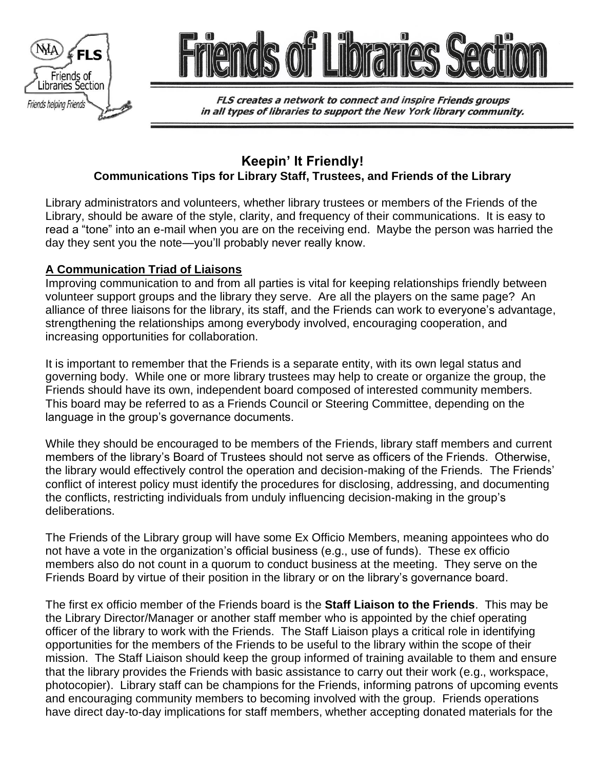



FLS creates a network to connect and inspire Friends groups in all types of libraries to support the New York library community.

# **Keepin' It Friendly! Communications Tips for Library Staff, Trustees, and Friends of the Library**

Library administrators and volunteers, whether library trustees or members of the Friends of the Library, should be aware of the style, clarity, and frequency of their communications. It is easy to read a "tone" into an e-mail when you are on the receiving end. Maybe the person was harried the day they sent you the note—you'll probably never really know.

## **A Communication Triad of Liaisons**

Improving communication to and from all parties is vital for keeping relationships friendly between volunteer support groups and the library they serve. Are all the players on the same page? An alliance of three liaisons for the library, its staff, and the Friends can work to everyone's advantage, strengthening the relationships among everybody involved, encouraging cooperation, and increasing opportunities for collaboration.

It is important to remember that the Friends is a separate entity, with its own legal status and governing body. While one or more library trustees may help to create or organize the group, the Friends should have its own, independent board composed of interested community members. This board may be referred to as a Friends Council or Steering Committee, depending on the language in the group's governance documents.

While they should be encouraged to be members of the Friends, library staff members and current members of the library's Board of Trustees should not serve as officers of the Friends. Otherwise, the library would effectively control the operation and decision-making of the Friends. The Friends' conflict of interest policy must identify the procedures for disclosing, addressing, and documenting the conflicts, restricting individuals from unduly influencing decision-making in the group's deliberations.

The Friends of the Library group will have some Ex Officio Members, meaning appointees who do not have a vote in the organization's official business (e.g., use of funds). These ex officio members also do not count in a quorum to conduct business at the meeting. They serve on the Friends Board by virtue of their position in the library or on the library's governance board.

The first ex officio member of the Friends board is the **Staff Liaison to the Friends**. This may be the Library Director/Manager or another staff member who is appointed by the chief operating officer of the library to work with the Friends. The Staff Liaison plays a critical role in identifying opportunities for the members of the Friends to be useful to the library within the scope of their mission. The Staff Liaison should keep the group informed of training available to them and ensure that the library provides the Friends with basic assistance to carry out their work (e.g., workspace, photocopier). Library staff can be champions for the Friends, informing patrons of upcoming events and encouraging community members to becoming involved with the group. Friends operations have direct day-to-day implications for staff members, whether accepting donated materials for the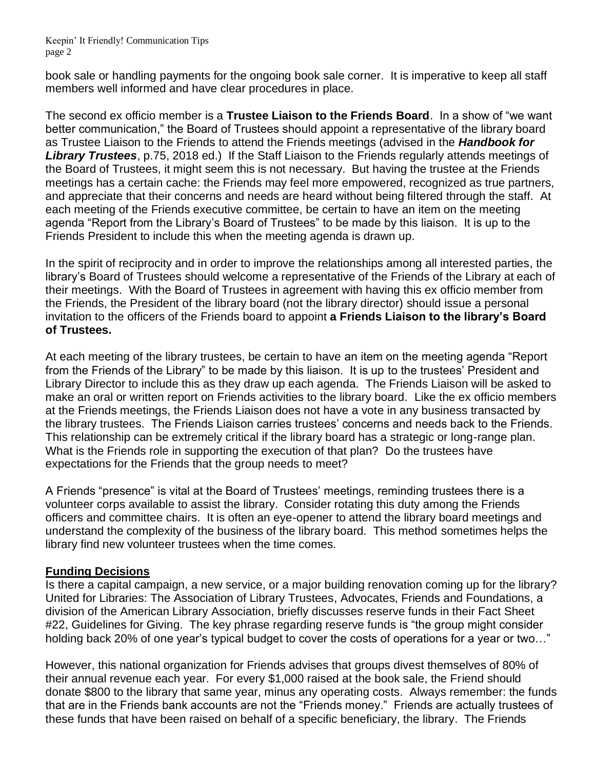Keepin' It Friendly! Communication Tips page 2

book sale or handling payments for the ongoing book sale corner. It is imperative to keep all staff members well informed and have clear procedures in place.

The second ex officio member is a **Trustee Liaison to the Friends Board**. In a show of "we want better communication," the Board of Trustees should appoint a representative of the library board as Trustee Liaison to the Friends to attend the Friends meetings (advised in the *Handbook for Library Trustees*, p.75, 2018 ed.) If the Staff Liaison to the Friends regularly attends meetings of the Board of Trustees, it might seem this is not necessary. But having the trustee at the Friends meetings has a certain cache: the Friends may feel more empowered, recognized as true partners, and appreciate that their concerns and needs are heard without being filtered through the staff. At each meeting of the Friends executive committee, be certain to have an item on the meeting agenda "Report from the Library's Board of Trustees" to be made by this liaison. It is up to the Friends President to include this when the meeting agenda is drawn up.

In the spirit of reciprocity and in order to improve the relationships among all interested parties, the library's Board of Trustees should welcome a representative of the Friends of the Library at each of their meetings. With the Board of Trustees in agreement with having this ex officio member from the Friends, the President of the library board (not the library director) should issue a personal invitation to the officers of the Friends board to appoint **a Friends Liaison to the library's Board of Trustees.**

At each meeting of the library trustees, be certain to have an item on the meeting agenda "Report from the Friends of the Library" to be made by this liaison. It is up to the trustees' President and Library Director to include this as they draw up each agenda. The Friends Liaison will be asked to make an oral or written report on Friends activities to the library board. Like the ex officio members at the Friends meetings, the Friends Liaison does not have a vote in any business transacted by the library trustees. The Friends Liaison carries trustees' concerns and needs back to the Friends. This relationship can be extremely critical if the library board has a strategic or long-range plan. What is the Friends role in supporting the execution of that plan? Do the trustees have expectations for the Friends that the group needs to meet?

A Friends "presence" is vital at the Board of Trustees' meetings, reminding trustees there is a volunteer corps available to assist the library. Consider rotating this duty among the Friends officers and committee chairs. It is often an eye-opener to attend the library board meetings and understand the complexity of the business of the library board. This method sometimes helps the library find new volunteer trustees when the time comes.

#### **Funding Decisions**

Is there a capital campaign, a new service, or a major building renovation coming up for the library? United for Libraries: The Association of Library Trustees, Advocates, Friends and Foundations, a division of the American Library Association, briefly discusses reserve funds in their Fact Sheet #22, Guidelines for Giving. The key phrase regarding reserve funds is "the group might consider holding back 20% of one year's typical budget to cover the costs of operations for a year or two..."

However, this national organization for Friends advises that groups divest themselves of 80% of their annual revenue each year. For every \$1,000 raised at the book sale, the Friend should donate \$800 to the library that same year, minus any operating costs. Always remember: the funds that are in the Friends bank accounts are not the "Friends money." Friends are actually trustees of these funds that have been raised on behalf of a specific beneficiary, the library. The Friends